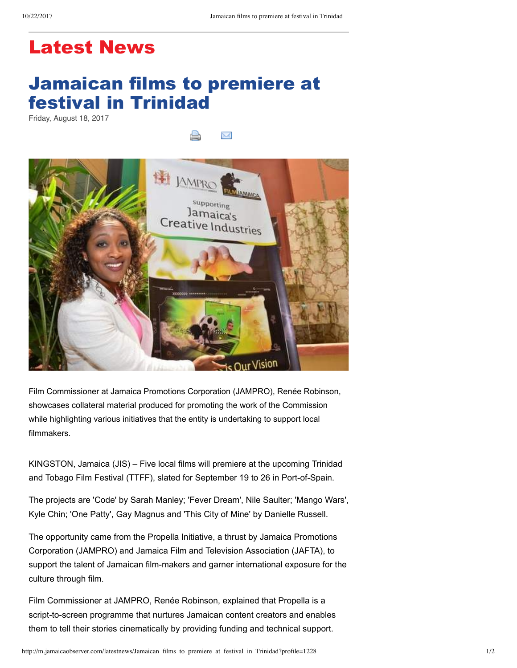## Latest News

## Jamaican films to premiere at festival in Trinidad

Friday, August 18, 2017

X



Film Commissioner at Jamaica Promotions Corporation (JAMPRO), Renée Robinson, showcases collateral material produced for promoting the work of the Commission while highlighting various initiatives that the entity is undertaking to support local filmmakers.

KINGSTON, Jamaica (JIS) – Five local films will premiere at the upcoming Trinidad and Tobago Film Festival (TTFF), slated for September 19 to 26 in Port-of-Spain.

The projects are 'Code' by Sarah Manley; 'Fever Dream', Nile Saulter; 'Mango Wars', Kyle Chin; 'One Patty', Gay Magnus and 'This City of Mine' by Danielle Russell.

The opportunity came from the Propella Initiative, a thrust by Jamaica Promotions Corporation (JAMPRO) and Jamaica Film and Television Association (JAFTA), to support the talent of Jamaican film-makers and garner international exposure for the culture through film.

Film Commissioner at JAMPRO, Renée Robinson, explained that Propella is a script-to-screen programme that nurtures Jamaican content creators and enables them to tell their stories cinematically by providing funding and technical support.